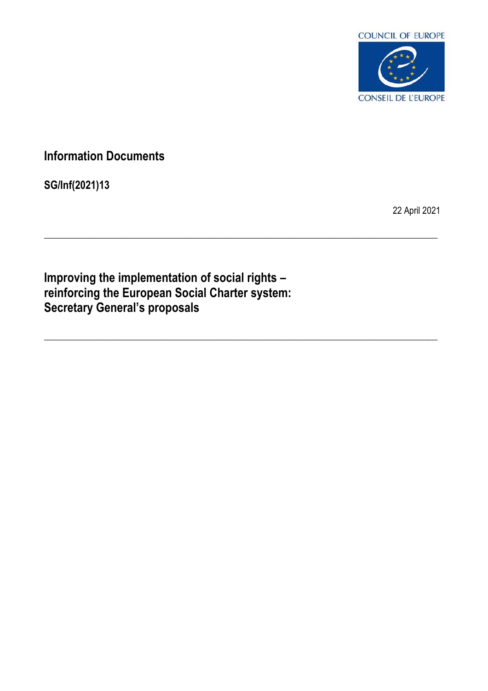

# **Information Documents**

**SG/Inf(2021)13**

22 April 2021

**Improving the implementation of social rights – reinforcing the European Social Charter system: Secretary General's proposals**

\_\_\_\_\_\_\_\_\_\_\_\_\_\_\_\_\_\_\_\_\_\_\_\_\_\_\_\_\_\_\_\_\_\_\_\_\_\_\_\_\_\_\_\_\_\_\_\_\_\_\_\_\_\_\_\_\_\_\_\_\_\_\_\_\_\_\_\_\_\_\_\_\_\_\_\_\_\_\_\_

\_\_\_\_\_\_\_\_\_\_\_\_\_\_\_\_\_\_\_\_\_\_\_\_\_\_\_\_\_\_\_\_\_\_\_\_\_\_\_\_\_\_\_\_\_\_\_\_\_\_\_\_\_\_\_\_\_\_\_\_\_\_\_\_\_\_\_\_\_\_\_\_\_\_\_\_\_\_\_\_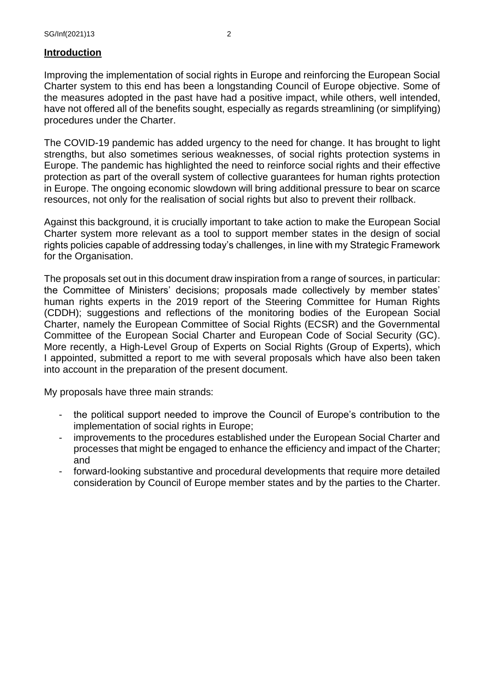## **Introduction**

Improving the implementation of social rights in Europe and reinforcing the European Social Charter system to this end has been a longstanding Council of Europe objective. Some of the measures adopted in the past have had a positive impact, while others, well intended, have not offered all of the benefits sought, especially as regards streamlining (or simplifying) procedures under the Charter.

The COVID-19 pandemic has added urgency to the need for change. It has brought to light strengths, but also sometimes serious weaknesses, of social rights protection systems in Europe. The pandemic has highlighted the need to reinforce social rights and their effective protection as part of the overall system of collective guarantees for human rights protection in Europe. The ongoing economic slowdown will bring additional pressure to bear on scarce resources, not only for the realisation of social rights but also to prevent their rollback.

Against this background, it is crucially important to take action to make the European Social Charter system more relevant as a tool to support member states in the design of social rights policies capable of addressing today's challenges, in line with my Strategic Framework for the Organisation.

The proposals set out in this document draw inspiration from a range of sources, in particular: the Committee of Ministers' decisions; proposals made collectively by member states' human rights experts in the 2019 report of the Steering Committee for Human Rights (CDDH); suggestions and reflections of the monitoring bodies of the European Social Charter, namely the European Committee of Social Rights (ECSR) and the Governmental Committee of the European Social Charter and European Code of Social Security (GC). More recently, a High-Level Group of Experts on Social Rights (Group of Experts), which I appointed, submitted a report to me with several proposals which have also been taken into account in the preparation of the present document.

My proposals have three main strands:

- the political support needed to improve the Council of Europe's contribution to the implementation of social rights in Europe;
- improvements to the procedures established under the European Social Charter and processes that might be engaged to enhance the efficiency and impact of the Charter; and
- forward-looking substantive and procedural developments that require more detailed consideration by Council of Europe member states and by the parties to the Charter.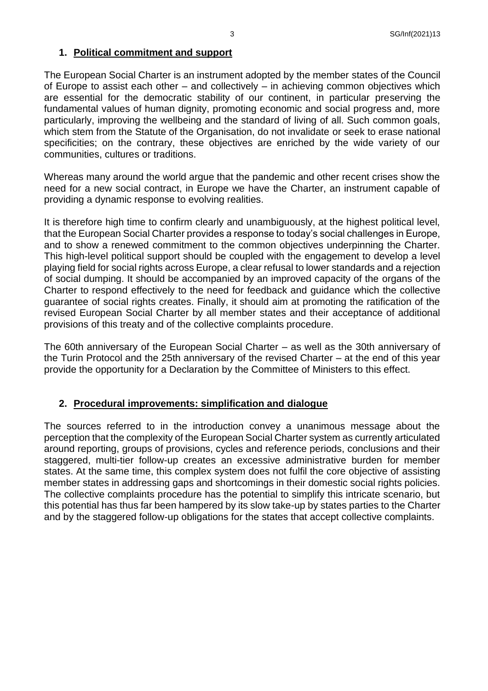## **1. Political commitment and support**

The European Social Charter is an instrument adopted by the member states of the Council of Europe to assist each other – and collectively – in achieving common objectives which are essential for the democratic stability of our continent, in particular preserving the fundamental values of human dignity, promoting economic and social progress and, more particularly, improving the wellbeing and the standard of living of all. Such common goals, which stem from the Statute of the Organisation, do not invalidate or seek to erase national specificities; on the contrary, these objectives are enriched by the wide variety of our communities, cultures or traditions.

Whereas many around the world argue that the pandemic and other recent crises show the need for a new social contract, in Europe we have the Charter, an instrument capable of providing a dynamic response to evolving realities.

It is therefore high time to confirm clearly and unambiguously, at the highest political level, that the European Social Charter provides a response to today's social challenges in Europe, and to show a renewed commitment to the common objectives underpinning the Charter. This high-level political support should be coupled with the engagement to develop a level playing field for social rights across Europe, a clear refusal to lower standards and a rejection of social dumping. It should be accompanied by an improved capacity of the organs of the Charter to respond effectively to the need for feedback and guidance which the collective guarantee of social rights creates. Finally, it should aim at promoting the ratification of the revised European Social Charter by all member states and their acceptance of additional provisions of this treaty and of the collective complaints procedure.

The 60th anniversary of the European Social Charter – as well as the 30th anniversary of the Turin Protocol and the 25th anniversary of the revised Charter – at the end of this year provide the opportunity for a Declaration by the Committee of Ministers to this effect.

## **2. Procedural improvements: simplification and dialogue**

The sources referred to in the introduction convey a unanimous message about the perception that the complexity of the European Social Charter system as currently articulated around reporting, groups of provisions, cycles and reference periods, conclusions and their staggered, multi-tier follow-up creates an excessive administrative burden for member states. At the same time, this complex system does not fulfil the core objective of assisting member states in addressing gaps and shortcomings in their domestic social rights policies. The collective complaints procedure has the potential to simplify this intricate scenario, but this potential has thus far been hampered by its slow take-up by states parties to the Charter and by the staggered follow-up obligations for the states that accept collective complaints.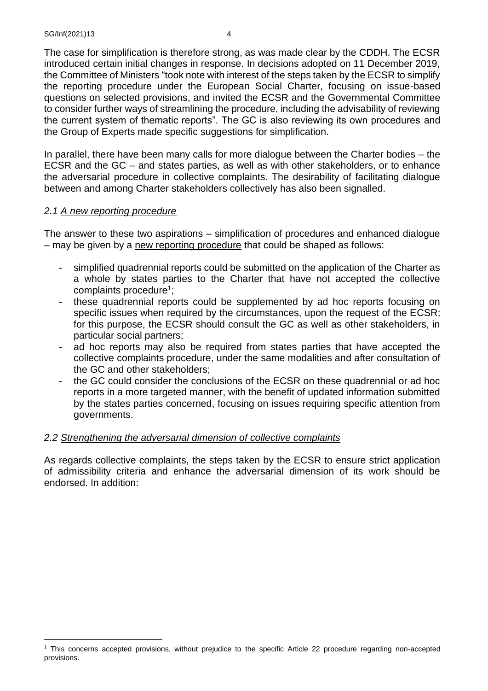The case for simplification is therefore strong, as was made clear by the CDDH. The ECSR introduced certain initial changes in response. In decisions adopted on 11 December 2019, the Committee of Ministers "took note with interest of the steps taken by the ECSR to simplify the reporting procedure under the European Social Charter, focusing on issue-based questions on selected provisions, and invited the ECSR and the Governmental Committee to consider further ways of streamlining the procedure, including the advisability of reviewing the current system of thematic reports". The GC is also reviewing its own procedures and the Group of Experts made specific suggestions for simplification.

In parallel, there have been many calls for more dialogue between the Charter bodies – the ECSR and the GC – and states parties, as well as with other stakeholders, or to enhance the adversarial procedure in collective complaints. The desirability of facilitating dialogue between and among Charter stakeholders collectively has also been signalled.

#### *2.1 A new reporting procedure*

The answer to these two aspirations – simplification of procedures and enhanced dialogue – may be given by a new reporting procedure that could be shaped as follows:

- simplified quadrennial reports could be submitted on the application of the Charter as a whole by states parties to the Charter that have not accepted the collective complaints procedure<sup>1</sup>;
- these quadrennial reports could be supplemented by ad hoc reports focusing on specific issues when required by the circumstances, upon the request of the ECSR; for this purpose, the ECSR should consult the GC as well as other stakeholders, in particular social partners;
- ad hoc reports may also be required from states parties that have accepted the collective complaints procedure, under the same modalities and after consultation of the GC and other stakeholders;
- the GC could consider the conclusions of the ECSR on these quadrennial or ad hoc reports in a more targeted manner, with the benefit of updated information submitted by the states parties concerned, focusing on issues requiring specific attention from governments.

## *2.2 Strengthening the adversarial dimension of collective complaints*

As regards collective complaints, the steps taken by the ECSR to ensure strict application of admissibility criteria and enhance the adversarial dimension of its work should be endorsed. In addition:

<sup>&</sup>lt;sup>1</sup> This concerns accepted provisions, without prejudice to the specific Article 22 procedure regarding non-accepted provisions.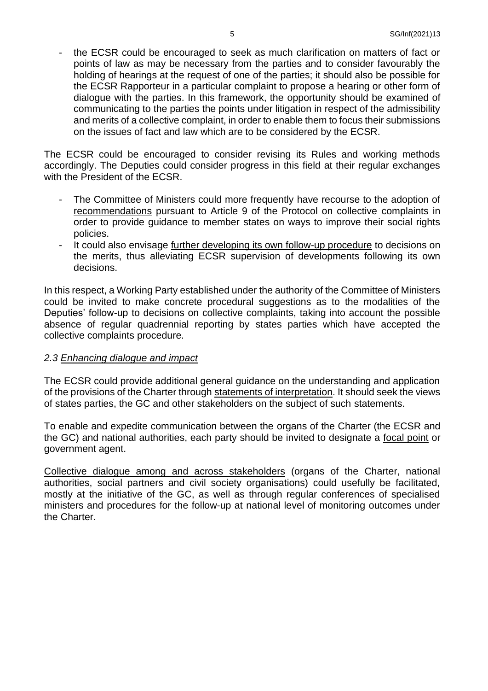the ECSR could be encouraged to seek as much clarification on matters of fact or points of law as may be necessary from the parties and to consider favourably the holding of hearings at the request of one of the parties; it should also be possible for the ECSR Rapporteur in a particular complaint to propose a hearing or other form of dialogue with the parties. In this framework, the opportunity should be examined of communicating to the parties the points under litigation in respect of the admissibility and merits of a collective complaint, in order to enable them to focus their submissions on the issues of fact and law which are to be considered by the ECSR.

The ECSR could be encouraged to consider revising its Rules and working methods accordingly. The Deputies could consider progress in this field at their regular exchanges with the President of the ECSR.

- The Committee of Ministers could more frequently have recourse to the adoption of recommendations pursuant to Article 9 of the Protocol on collective complaints in order to provide guidance to member states on ways to improve their social rights policies.
- It could also envisage further developing its own follow-up procedure to decisions on the merits, thus alleviating ECSR supervision of developments following its own decisions.

In this respect, a Working Party established under the authority of the Committee of Ministers could be invited to make concrete procedural suggestions as to the modalities of the Deputies' follow-up to decisions on collective complaints, taking into account the possible absence of regular quadrennial reporting by states parties which have accepted the collective complaints procedure.

#### *2.3 Enhancing dialogue and impact*

The ECSR could provide additional general guidance on the understanding and application of the provisions of the Charter through statements of interpretation. It should seek the views of states parties, the GC and other stakeholders on the subject of such statements.

To enable and expedite communication between the organs of the Charter (the ECSR and the GC) and national authorities, each party should be invited to designate a focal point or government agent.

Collective dialogue among and across stakeholders (organs of the Charter, national authorities, social partners and civil society organisations) could usefully be facilitated, mostly at the initiative of the GC, as well as through regular conferences of specialised ministers and procedures for the follow-up at national level of monitoring outcomes under the Charter.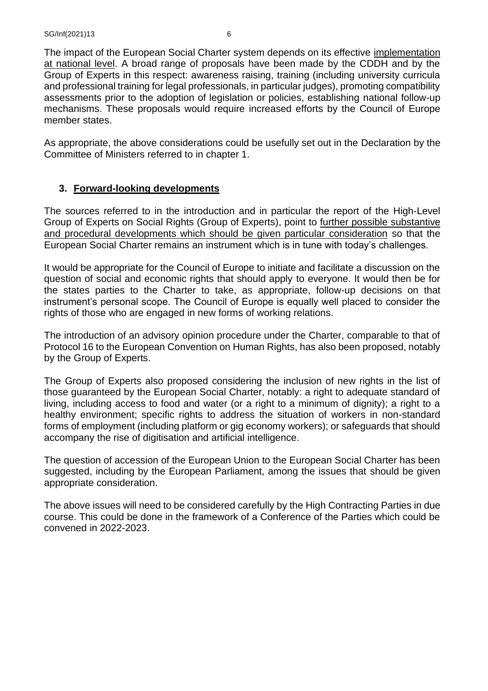The impact of the European Social Charter system depends on its effective implementation at national level. A broad range of proposals have been made by the CDDH and by the Group of Experts in this respect: awareness raising, training (including university curricula and professional training for legal professionals, in particular judges), promoting compatibility assessments prior to the adoption of legislation or policies, establishing national follow-up mechanisms. These proposals would require increased efforts by the Council of Europe member states.

As appropriate, the above considerations could be usefully set out in the Declaration by the Committee of Ministers referred to in chapter 1.

#### **3. Forward-looking developments**

The sources referred to in the introduction and in particular the report of the High-Level Group of Experts on Social Rights (Group of Experts), point to further possible substantive and procedural developments which should be given particular consideration so that the European Social Charter remains an instrument which is in tune with today's challenges.

It would be appropriate for the Council of Europe to initiate and facilitate a discussion on the question of social and economic rights that should apply to everyone. It would then be for the states parties to the Charter to take, as appropriate, follow-up decisions on that instrument's personal scope. The Council of Europe is equally well placed to consider the rights of those who are engaged in new forms of working relations.

The introduction of an advisory opinion procedure under the Charter, comparable to that of Protocol 16 to the European Convention on Human Rights, has also been proposed, notably by the Group of Experts.

The Group of Experts also proposed considering the inclusion of new rights in the list of those guaranteed by the European Social Charter, notably: a right to adequate standard of living, including access to food and water (or a right to a minimum of dignity); a right to a healthy environment; specific rights to address the situation of workers in non-standard forms of employment (including platform or gig economy workers); or safeguards that should accompany the rise of digitisation and artificial intelligence.

The question of accession of the European Union to the European Social Charter has been suggested, including by the European Parliament, among the issues that should be given appropriate consideration.

The above issues will need to be considered carefully by the High Contracting Parties in due course. This could be done in the framework of a Conference of the Parties which could be convened in 2022-2023.